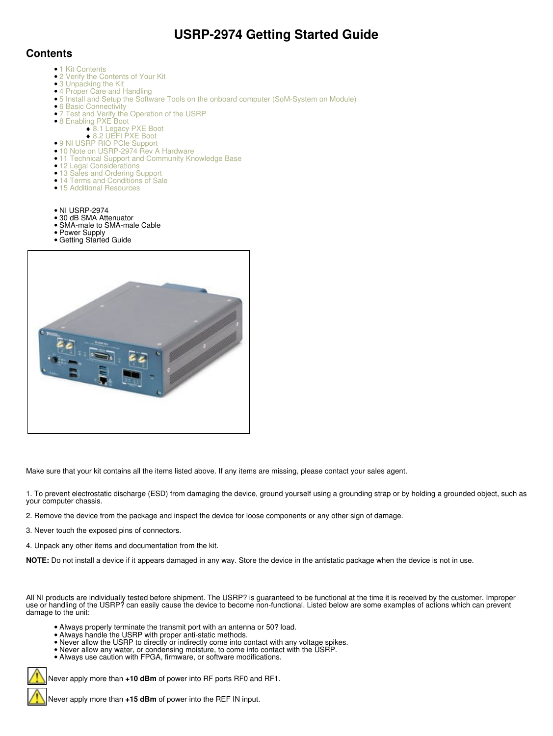## **USRP-2974 Getting Started Guide**

## **Contents**

- 1 Kit Contents
- 2 Verify the Contents of Your Kit
- 3 Unpacking the Kit
- 4 Proper Care and Handling
- 5 Install and Setup the Software Tools on the onboard computer (SoM-System on Module)
- 6 Basic Connectivity
- 7 Test and Verify the Operation of the USRP •
	- 8 Enabling PXE Boot
		- ♦ 8.1 Legacy PXE Boot
- ◆ 8.2 UEFI PXE Boot • 9 NI USRP RIO PCIe Support
- 10 Note on USRP-2974 Rev A Hardware
- 11 Technical Support and Community Knowledge Base
- 12 Legal Considerations
- 13 Sales and Ordering Support
- 14 Terms and Conditions of Sale
- 15 Additional Resources
- NI USRP-2974
- 30 dB SMA Attenuator
- SMA-male to SMA-male Cable • Power Supply
- 





Make sure that your kit contains all the items listed above. If any items are missing, please contact your sales agent.

1. To prevent electrostatic discharge (ESD) from damaging the device, ground yourself using a grounding strap or by holding a grounded object, such as your computer chassis.

2. Remove the device from the package and inspect the device for loose components or any other sign of damage.

3. Never touch the exposed pins of connectors.

4. Unpack any other items and documentation from the kit.

**NOTE:** Do not install a device if it appears damaged in any way. Store the device in the antistatic package when the device is not in use.

All NI products are individually tested before shipment. The USRP? is guaranteed to be functional at the time it is received by the customer. Improper use or handling of the USRP? can easily cause the device to become non-functional. Listed below are some examples of actions which can prevent damage to the unit:

- Always properly terminate the transmit port with an antenna or 50? load.
- Always handle the USRP with proper anti-static methods.
- Never allow the USRP to directly or indirectly come into contact with any voltage spikes.
- Never allow any water, or condensing moisture, to come into contact with the USRP.
- Always use caution with FPGA, firmware, or software modifications.

Never apply more than **+10 dBm** of power into RF ports RF0 and RF1.

Never apply more than **+15 dBm** of power into the REF IN input.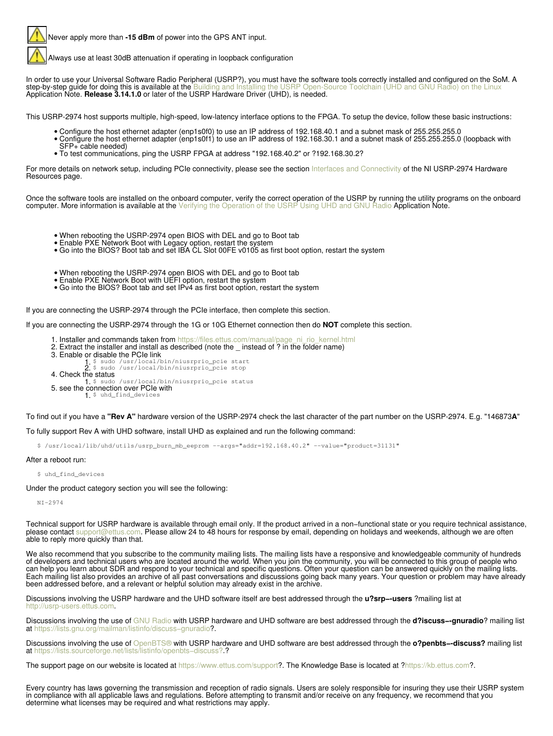Never apply more than **-15 dBm** of power into the GPS ANT input.

Always use at least 30dB attenuation if operating in loopback configuration

In order to use your Universal Software Radio Peripheral (USRP?), you must have the software tools correctly installed and configured on the SoM. A step-by-step guide for doing this is available at the Building and Install **step-by-step guide for doing this is available at the** [Building and Installing the USRP Open-Source Toolchain \(UHD and GNU Radio\) on the Linux](https://kb.ettus.com/Building_and_Installing_the_USRP_Open-Source_Toolchain_(UHD_and_GNU_Radio)_on_Linux) Application Note. **Release 3.14.1.0** or later of the USRP Hardware Driver (UHD), is needed.

This USRP-2974 host supports multiple, high-speed, low-latency interface options to the FPGA. To setup the device, follow these basic instructions:

- 
- Configure the host ethernet adapter (enp1s0f0) to use an IP address of 192.168.40.1 and a subnet mask of 255.255.255.0<br>• Configure the host ethernet adapter (enp1s0f1) to use an IP address of 192.168.30.1 and a subnet ma SFP+ cable needed)
- To test communications, ping the USRP FPGA at address "192.168.40.2" or ?192.168.30.2?

For more details on network setup, including PCIe connectivity, please see the section [Interfaces and Connectivity](https://kb.ettus.com/USRP-2974#Interfaces_and_Connectivity) of the NI USRP-2974 Hardware Resources page.

Once the software tools are installed on the onboard computer, verify the correct operation of the USRP by running the utility programs on the onboard computer. More information is available at the [Verifying the Operation of the USRP Using UHD and GNU Radio](https://kb.ettus.com/Verifying_the_Operation_of_the_USRP_Using_UHD_and_GNU_Radio) Application Note.

- When rebooting the USRP-2974 open BIOS with DEL and go to Boot tab
- Enable PXE Network Boot with Legacy option, restart the system
- Go into the BIOS? Boot tab and set IBA CL Slot 00FE v0105 as first boot option, restart the system
- When rebooting the USRP-2974 open BIOS with DEL and go to Boot tab
- Enable PXE Network Boot with UEFI option, restart the system
- Go into the BIOS? Boot tab and set IPv4 as first boot option, restart the system

If you are connecting the USRP-2974 through the PCIe interface, then complete this section.

If you are connecting the USRP-2974 through the 1G or 10G Ethernet connection then do **NOT** complete this section.

- 1. Installer and commands taken from [https://files.ettus.com/manual/page\\_ni\\_rio\\_kernel.html](https://files.ettus.com/manual/page_ni_rio_kernel.html)
- 2. Extract the installer and install as described (note the \_ instead of ? in the folder name)
- 3.
	- Enable or disable the PCIe link<br>
	1. \$ sudo /usr/local/bin/niusrprio\_pcie start<br>
	2. \$ sudo /usr/local/bin/niusrprio\_pcie stop
- 4. Check the status
- 1. \$ sudo /usr/local/bin/niusrprio\_pcie status
- 5. see the connection over PCIe with<br>1. \$ uhd\_find\_devices

To find out if you have a **"Rev A"** hardware version of the USRP-2974 check the last character of the part number on the USRP-2974. E.g. "146873**A**"

## To fully support Rev A with UHD software, install UHD as explained and run the following command:

\$ /usr/local/lib/uhd/utils/usrp\_burn\_mb\_eeprom --args="addr=192.168.40.2" --value="product=31131"

## After a reboot run:

\$ uhd\_find\_devices

Under the product category section you will see the following:

NI-2974

Technical support for USRP hardware is available through email only. If the product arrived in a non−functional state or you require technical assistance, please contact [support@ettus.com](mailto:support@ettus.com). Please allow 24 to 48 hours for response by email, depending on holidays and weekends, although we are often able to reply more quickly than that.

We also recommend that you subscribe to the community mailing lists. The mailing lists have a responsive and knowledgeable community of hundreds of developers and technical users who are located around the world. When you join the community, you will be connected to this group of people who can help you learn about SDR and respond to your technical and specific questions. Often your question can be answered quickly on the mailing lists. Each mailing list also provides an archive of all past conversations and discussions going back many years. Your question or problem may have already been addressed before, and a relevant or helpful solution may already exist in the archive.

Discussions involving the USRP hardware and the UHD software itself are best addressed through the **u?srp−-users** ?mailing list at [http://usrp-users.ettus.com.](http://usrp-users.ettus.com)

Discussions involving the use of [GNU Radio](http://gnuradio.org/) with USRP hardware and UHD software are best addressed through the **d?iscuss−-gnuradio**? mailing list at [https://lists.gnu.org/mailman/listinfo/discuss−gnuradio](https://lists.gnu.org/mailman/listinfo/discuss�gnuradio)?.

Discussions involving the use of [OpenBTS®](http://openbts.org/) with USRP hardware and UHD software are best addressed through the **o?penbts−-discuss?** mailing list at [https://lists.sourceforge.net/lists/listinfo/openbts−discuss?.](https://lists.sourceforge.net/lists/listinfo/openbts�discuss?)?

The support page on our website is located at<https://www.ettus.com/support>?. The Knowledge Base is located at ?<https://kb.ettus.com>?.

Every country has laws governing the transmission and reception of radio signals. Users are solely responsible for insuring they use their USRP system in compliance with all applicable laws and regulations. Before attempting to transmit and/or receive on any frequency, we recommend that you determine what licenses may be required and what restrictions may apply.